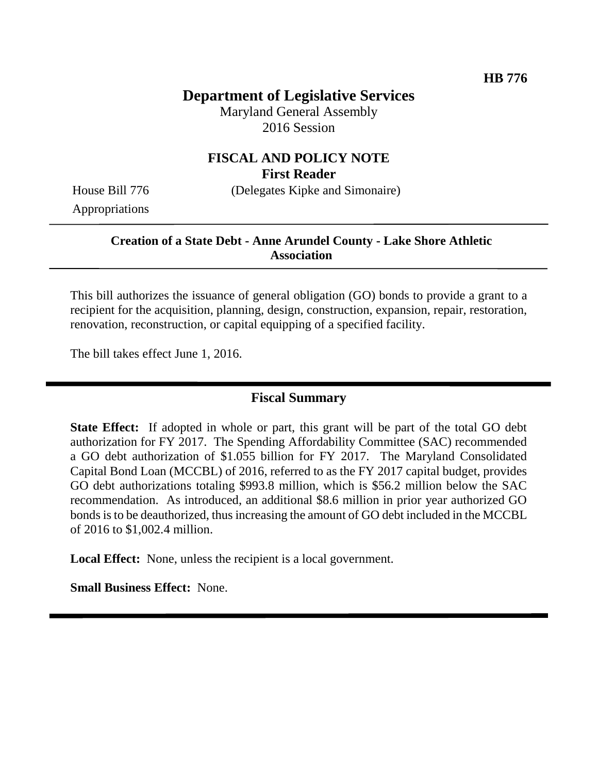## **Department of Legislative Services**

Maryland General Assembly 2016 Session

#### **FISCAL AND POLICY NOTE First Reader**

House Bill 776 (Delegates Kipke and Simonaire)

Appropriations

#### **Creation of a State Debt - Anne Arundel County - Lake Shore Athletic Association**

This bill authorizes the issuance of general obligation (GO) bonds to provide a grant to a recipient for the acquisition, planning, design, construction, expansion, repair, restoration, renovation, reconstruction, or capital equipping of a specified facility.

The bill takes effect June 1, 2016.

#### **Fiscal Summary**

**State Effect:** If adopted in whole or part, this grant will be part of the total GO debt authorization for FY 2017. The Spending Affordability Committee (SAC) recommended a GO debt authorization of \$1.055 billion for FY 2017. The Maryland Consolidated Capital Bond Loan (MCCBL) of 2016, referred to as the FY 2017 capital budget, provides GO debt authorizations totaling \$993.8 million, which is \$56.2 million below the SAC recommendation. As introduced, an additional \$8.6 million in prior year authorized GO bonds is to be deauthorized, thus increasing the amount of GO debt included in the MCCBL of 2016 to \$1,002.4 million.

**Local Effect:** None, unless the recipient is a local government.

**Small Business Effect:** None.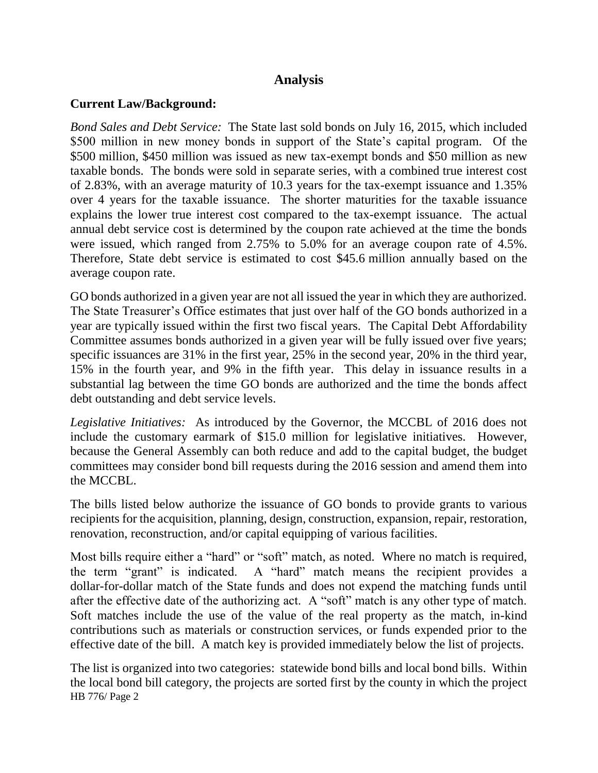### **Analysis**

### **Current Law/Background:**

*Bond Sales and Debt Service:* The State last sold bonds on July 16, 2015, which included \$500 million in new money bonds in support of the State's capital program. Of the \$500 million, \$450 million was issued as new tax-exempt bonds and \$50 million as new taxable bonds. The bonds were sold in separate series, with a combined true interest cost of 2.83%, with an average maturity of 10.3 years for the tax-exempt issuance and 1.35% over 4 years for the taxable issuance. The shorter maturities for the taxable issuance explains the lower true interest cost compared to the tax-exempt issuance. The actual annual debt service cost is determined by the coupon rate achieved at the time the bonds were issued, which ranged from 2.75% to 5.0% for an average coupon rate of 4.5%. Therefore, State debt service is estimated to cost \$45.6 million annually based on the average coupon rate.

GO bonds authorized in a given year are not all issued the year in which they are authorized. The State Treasurer's Office estimates that just over half of the GO bonds authorized in a year are typically issued within the first two fiscal years. The Capital Debt Affordability Committee assumes bonds authorized in a given year will be fully issued over five years; specific issuances are 31% in the first year, 25% in the second year, 20% in the third year, 15% in the fourth year, and 9% in the fifth year. This delay in issuance results in a substantial lag between the time GO bonds are authorized and the time the bonds affect debt outstanding and debt service levels.

*Legislative Initiatives:* As introduced by the Governor, the MCCBL of 2016 does not include the customary earmark of \$15.0 million for legislative initiatives. However, because the General Assembly can both reduce and add to the capital budget, the budget committees may consider bond bill requests during the 2016 session and amend them into the MCCBL.

The bills listed below authorize the issuance of GO bonds to provide grants to various recipients for the acquisition, planning, design, construction, expansion, repair, restoration, renovation, reconstruction, and/or capital equipping of various facilities.

Most bills require either a "hard" or "soft" match, as noted. Where no match is required, the term "grant" is indicated. A "hard" match means the recipient provides a dollar-for-dollar match of the State funds and does not expend the matching funds until after the effective date of the authorizing act. A "soft" match is any other type of match. Soft matches include the use of the value of the real property as the match, in-kind contributions such as materials or construction services, or funds expended prior to the effective date of the bill. A match key is provided immediately below the list of projects.

HB 776/ Page 2 The list is organized into two categories: statewide bond bills and local bond bills. Within the local bond bill category, the projects are sorted first by the county in which the project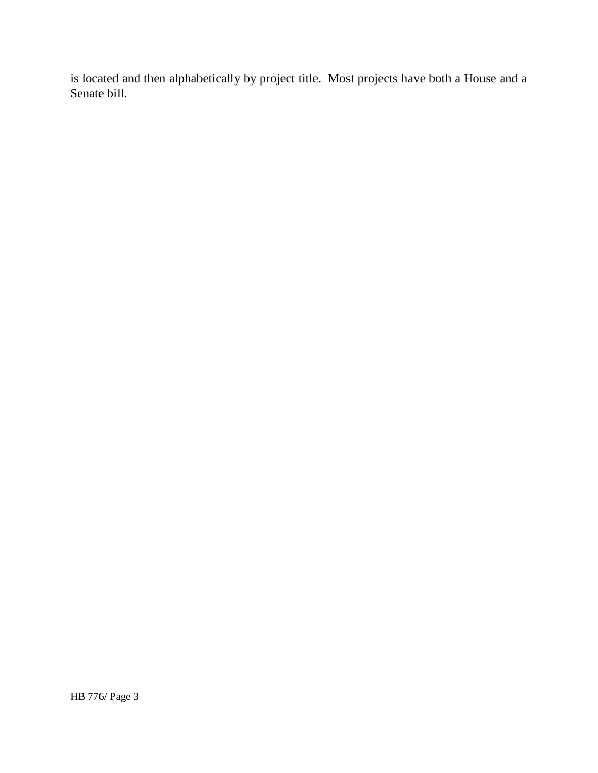is located and then alphabetically by project title. Most projects have both a House and a Senate bill.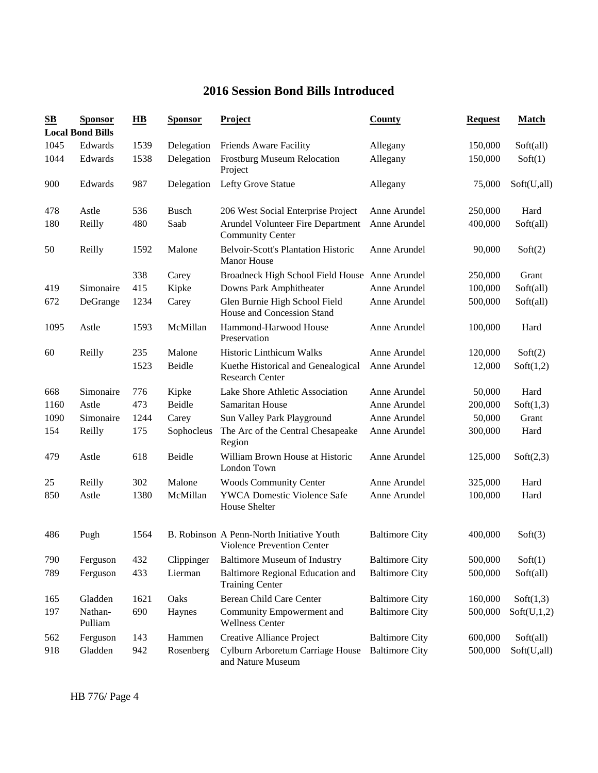## **2016 Session Bond Bills Introduced**

| $\mathbf{S}\mathbf{B}$ | <b>Sponsor</b><br><b>Local Bond Bills</b> | $\overline{AB}$ | <b>Sponsor</b> | Project                                                                 | County                | <b>Request</b> | <b>Match</b> |
|------------------------|-------------------------------------------|-----------------|----------------|-------------------------------------------------------------------------|-----------------------|----------------|--------------|
| 1045                   | Edwards                                   | 1539            | Delegation     | Friends Aware Facility                                                  | Allegany              | 150,000        | Soft(all)    |
| 1044                   | Edwards                                   | 1538            | Delegation     | <b>Frostburg Museum Relocation</b><br>Project                           | Allegany              | 150,000        | Soft(1)      |
| 900                    | Edwards                                   | 987             | Delegation     | Lefty Grove Statue                                                      | Allegany              | 75,000         | Soft(U,all)  |
| 478                    | Astle                                     | 536             | <b>Busch</b>   | 206 West Social Enterprise Project                                      | Anne Arundel          | 250,000        | Hard         |
| 180                    | Reilly                                    | 480             | Saab           | Arundel Volunteer Fire Department<br><b>Community Center</b>            | Anne Arundel          | 400,000        | Soft(all)    |
| 50                     | Reilly                                    | 1592            | Malone         | <b>Belvoir-Scott's Plantation Historic</b><br><b>Manor House</b>        | Anne Arundel          | 90,000         | Soft(2)      |
|                        |                                           | 338             | Carey          | Broadneck High School Field House Anne Arundel                          |                       | 250,000        | Grant        |
| 419                    | Simonaire                                 | 415             | Kipke          | Downs Park Amphitheater                                                 | Anne Arundel          | 100,000        | Soft(all)    |
| 672                    | DeGrange                                  | 1234            | Carey          | Glen Burnie High School Field<br>House and Concession Stand             | Anne Arundel          | 500,000        | Soft(all)    |
| 1095                   | Astle                                     | 1593            | McMillan       | Hammond-Harwood House<br>Preservation                                   | Anne Arundel          | 100,000        | Hard         |
| 60                     | Reilly                                    | 235             | Malone         | <b>Historic Linthicum Walks</b>                                         | Anne Arundel          | 120,000        | Soft(2)      |
|                        |                                           | 1523            | Beidle         | Kuethe Historical and Genealogical<br><b>Research Center</b>            | Anne Arundel          | 12,000         | Soft(1,2)    |
| 668                    | Simonaire                                 | 776             | Kipke          | Lake Shore Athletic Association                                         | Anne Arundel          | 50,000         | Hard         |
| 1160                   | Astle                                     | 473             | Beidle         | Samaritan House                                                         | Anne Arundel          | 200,000        | Soft(1,3)    |
| 1090                   | Simonaire                                 | 1244            | Carey          | Sun Valley Park Playground                                              | Anne Arundel          | 50,000         | Grant        |
| 154                    | Reilly                                    | 175             | Sophocleus     | The Arc of the Central Chesapeake<br>Region                             | Anne Arundel          | 300,000        | Hard         |
| 479                    | Astle                                     | 618             | Beidle         | William Brown House at Historic<br>London Town                          | Anne Arundel          | 125,000        | Soft(2,3)    |
| 25                     | Reilly                                    | 302             | Malone         | <b>Woods Community Center</b>                                           | Anne Arundel          | 325,000        | Hard         |
| 850                    | Astle                                     | 1380            | McMillan       | <b>YWCA Domestic Violence Safe</b><br>House Shelter                     | Anne Arundel          | 100,000        | Hard         |
| 486                    | Pugh                                      | 1564            |                | B. Robinson A Penn-North Initiative Youth<br>Violence Prevention Center | <b>Baltimore City</b> | 400,000        | Soft(3)      |
| 790                    | Ferguson                                  | 432             | Clippinger     | <b>Baltimore Museum of Industry</b>                                     | <b>Baltimore City</b> | 500,000        | Soft(1)      |
| 789                    | Ferguson                                  | 433             | Lierman        | Baltimore Regional Education and<br><b>Training Center</b>              | <b>Baltimore City</b> | 500,000        | Soft(all)    |
| 165                    | Gladden                                   | 1621            | Oaks           | Berean Child Care Center                                                | <b>Baltimore City</b> | 160,000        | Soft(1,3)    |
| 197                    | Nathan-<br>Pulliam                        | 690             | Haynes         | Community Empowerment and<br><b>Wellness Center</b>                     | <b>Baltimore City</b> | 500,000        | Soft(U,1,2)  |
| 562                    | Ferguson                                  | 143             | Hammen         | Creative Alliance Project                                               | <b>Baltimore City</b> | 600,000        | Soft(all)    |
| 918                    | Gladden                                   | 942             | Rosenberg      | Cylburn Arboretum Carriage House<br>and Nature Museum                   | <b>Baltimore City</b> | 500,000        | Soft(U,all)  |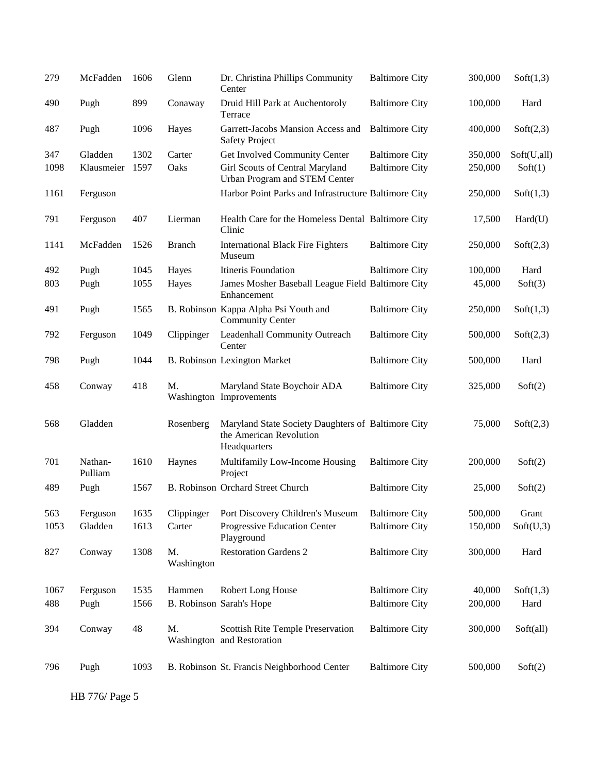| 279  | McFadden           | 1606 | Glenn            | Dr. Christina Phillips Community<br>Center                                                    | <b>Baltimore City</b> | 300,000 | Soft(1,3)   |
|------|--------------------|------|------------------|-----------------------------------------------------------------------------------------------|-----------------------|---------|-------------|
| 490  | Pugh               | 899  | Conaway          | Druid Hill Park at Auchentoroly<br>Terrace                                                    | <b>Baltimore City</b> | 100,000 | Hard        |
| 487  | Pugh               | 1096 | Hayes            | Garrett-Jacobs Mansion Access and<br><b>Safety Project</b>                                    | <b>Baltimore City</b> | 400,000 | Soft(2,3)   |
| 347  | Gladden            | 1302 | Carter           | Get Involved Community Center                                                                 | <b>Baltimore City</b> | 350,000 | Soft(U,all) |
| 1098 | Klausmeier         | 1597 | Oaks             | Girl Scouts of Central Maryland<br>Urban Program and STEM Center                              | <b>Baltimore City</b> | 250,000 | Soft(1)     |
| 1161 | Ferguson           |      |                  | Harbor Point Parks and Infrastructure Baltimore City                                          |                       | 250,000 | Soft(1,3)   |
| 791  | Ferguson           | 407  | Lierman          | Health Care for the Homeless Dental Baltimore City<br>Clinic                                  |                       | 17,500  | Hard(U)     |
| 1141 | McFadden           | 1526 | <b>Branch</b>    | <b>International Black Fire Fighters</b><br>Museum                                            | <b>Baltimore City</b> | 250,000 | Soft(2,3)   |
| 492  | Pugh               | 1045 | Hayes            | Itineris Foundation                                                                           | <b>Baltimore City</b> | 100,000 | Hard        |
| 803  | Pugh               | 1055 | Hayes            | James Mosher Baseball League Field Baltimore City<br>Enhancement                              |                       | 45,000  | Soft(3)     |
| 491  | Pugh               | 1565 |                  | B. Robinson Kappa Alpha Psi Youth and<br><b>Community Center</b>                              | <b>Baltimore City</b> | 250,000 | Soft(1,3)   |
| 792  | Ferguson           | 1049 | Clippinger       | Leadenhall Community Outreach<br>Center                                                       | <b>Baltimore City</b> | 500,000 | Soft(2,3)   |
| 798  | Pugh               | 1044 |                  | <b>B. Robinson Lexington Market</b>                                                           | <b>Baltimore City</b> | 500,000 | Hard        |
| 458  | Conway             | 418  | M.               | Maryland State Boychoir ADA<br>Washington Improvements                                        | <b>Baltimore City</b> | 325,000 | Soft(2)     |
| 568  | Gladden            |      | Rosenberg        | Maryland State Society Daughters of Baltimore City<br>the American Revolution<br>Headquarters |                       | 75,000  | Soft(2,3)   |
| 701  | Nathan-<br>Pulliam | 1610 | Haynes           | Multifamily Low-Income Housing<br>Project                                                     | <b>Baltimore City</b> | 200,000 | Soft(2)     |
| 489  | Pugh               | 1567 |                  | B. Robinson Orchard Street Church                                                             | <b>Baltimore City</b> | 25,000  | Soft(2)     |
| 563  | Ferguson           | 1635 | Clippinger       | Port Discovery Children's Museum                                                              | <b>Baltimore City</b> | 500,000 | Grant       |
| 1053 | Gladden            | 1613 | Carter           | Progressive Education Center<br>Playground                                                    | <b>Baltimore City</b> | 150,000 | Soft(U,3)   |
| 827  | Conway             | 1308 | M.<br>Washington | <b>Restoration Gardens 2</b>                                                                  | <b>Baltimore City</b> | 300,000 | Hard        |
| 1067 | Ferguson           | 1535 | Hammen           | Robert Long House                                                                             | <b>Baltimore City</b> | 40,000  | Soft(1,3)   |
| 488  | Pugh               | 1566 |                  | B. Robinson Sarah's Hope                                                                      | <b>Baltimore City</b> | 200,000 | Hard        |
|      |                    |      |                  |                                                                                               |                       |         |             |
| 394  | Conway             | 48   | M.               | <b>Scottish Rite Temple Preservation</b><br>Washington and Restoration                        | <b>Baltimore City</b> | 300,000 | Soft(all)   |
| 796  | Pugh               | 1093 |                  | B. Robinson St. Francis Neighborhood Center                                                   | <b>Baltimore City</b> | 500,000 | Soft(2)     |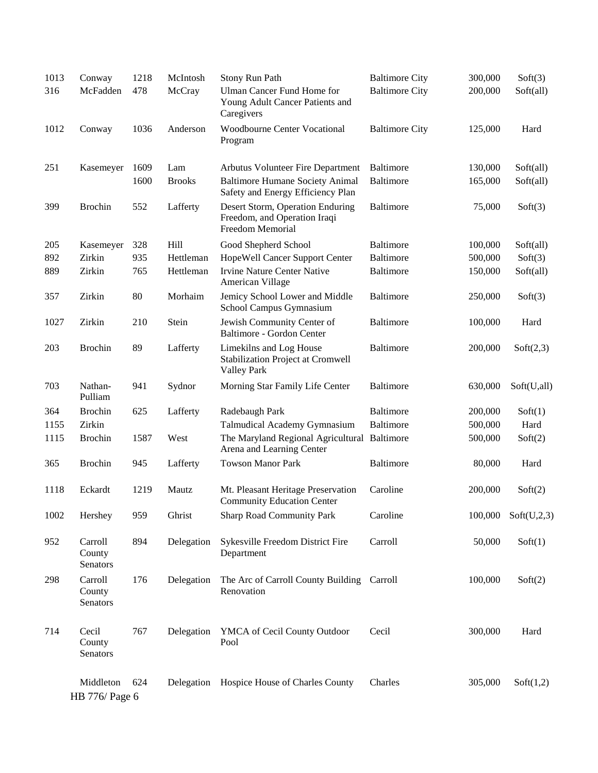| 1013 | Conway                        | 1218 | McIntosh      | Stony Run Path                                                                       | <b>Baltimore City</b> | 300,000 | Soft(3)     |
|------|-------------------------------|------|---------------|--------------------------------------------------------------------------------------|-----------------------|---------|-------------|
| 316  | McFadden                      | 478  | McCray        | <b>Ulman Cancer Fund Home for</b><br>Young Adult Cancer Patients and<br>Caregivers   | <b>Baltimore City</b> | 200,000 | Soft(all)   |
| 1012 | Conway                        | 1036 | Anderson      | <b>Woodbourne Center Vocational</b><br>Program                                       | <b>Baltimore City</b> | 125,000 | Hard        |
| 251  | Kasemeyer                     | 1609 | Lam           | Arbutus Volunteer Fire Department                                                    | Baltimore             | 130,000 | Soft(all)   |
|      |                               | 1600 | <b>Brooks</b> | <b>Baltimore Humane Society Animal</b><br>Safety and Energy Efficiency Plan          | <b>Baltimore</b>      | 165,000 | Soft(all)   |
| 399  | <b>Brochin</b>                | 552  | Lafferty      | Desert Storm, Operation Enduring<br>Freedom, and Operation Iraqi<br>Freedom Memorial | <b>Baltimore</b>      | 75,000  | Soft(3)     |
| 205  | Kasemeyer                     | 328  | Hill          | Good Shepherd School                                                                 | Baltimore             | 100,000 | Soft(all)   |
| 892  | Zirkin                        | 935  | Hettleman     | HopeWell Cancer Support Center                                                       | <b>Baltimore</b>      | 500,000 | Soft(3)     |
| 889  | Zirkin                        | 765  | Hettleman     | <b>Irvine Nature Center Native</b><br>American Village                               | <b>Baltimore</b>      | 150,000 | Soft(all)   |
| 357  | Zirkin                        | 80   | Morhaim       | Jemicy School Lower and Middle<br>School Campus Gymnasium                            | <b>Baltimore</b>      | 250,000 | Soft(3)     |
| 1027 | Zirkin                        | 210  | Stein         | Jewish Community Center of<br>Baltimore - Gordon Center                              | <b>Baltimore</b>      | 100,000 | Hard        |
| 203  | <b>Brochin</b>                | 89   | Lafferty      | Limekilns and Log House<br>Stabilization Project at Cromwell<br><b>Valley Park</b>   | <b>Baltimore</b>      | 200,000 | Soft(2,3)   |
| 703  | Nathan-<br>Pulliam            | 941  | Sydnor        | Morning Star Family Life Center                                                      | <b>Baltimore</b>      | 630,000 | Soft(U,all) |
| 364  | <b>Brochin</b>                | 625  | Lafferty      | Radebaugh Park                                                                       | <b>Baltimore</b>      | 200,000 | Soft(1)     |
| 1155 | Zirkin                        |      |               | Talmudical Academy Gymnasium                                                         | <b>Baltimore</b>      | 500,000 | Hard        |
| 1115 | <b>Brochin</b>                | 1587 | West          | The Maryland Regional Agricultural Baltimore<br>Arena and Learning Center            |                       | 500,000 | Soft(2)     |
| 365  | <b>Brochin</b>                | 945  | Lafferty      | <b>Towson Manor Park</b>                                                             | <b>Baltimore</b>      | 80,000  | Hard        |
| 1118 | Eckardt                       | 1219 | Mautz         | Mt. Pleasant Heritage Preservation<br><b>Community Education Center</b>              | Caroline              | 200,000 | Soft(2)     |
| 1002 | Hershey                       | 959  | Ghrist        | <b>Sharp Road Community Park</b>                                                     | Caroline              | 100,000 | Soft(U,2,3) |
| 952  | Carroll<br>County<br>Senators | 894  | Delegation    | Sykesville Freedom District Fire<br>Department                                       | Carroll               | 50,000  | Soft(1)     |
| 298  | Carroll<br>County<br>Senators | 176  | Delegation    | The Arc of Carroll County Building Carroll<br>Renovation                             |                       | 100,000 | Soft(2)     |
| 714  | Cecil<br>County<br>Senators   | 767  | Delegation    | YMCA of Cecil County Outdoor<br>Pool                                                 | Cecil                 | 300,000 | Hard        |
|      | Middleton<br>HB 776/ Page 6   | 624  | Delegation    | Hospice House of Charles County                                                      | Charles               | 305,000 | Soft(1,2)   |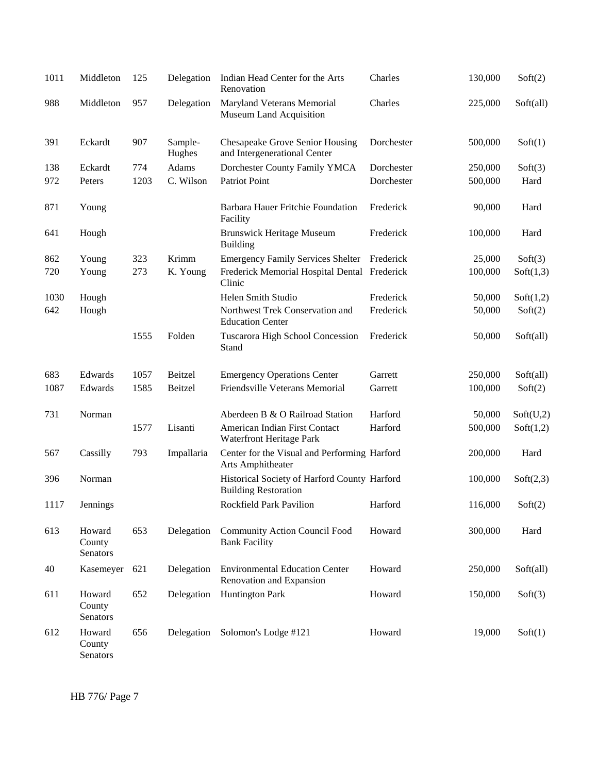| 1011 | Middleton                    | 125  | Delegation        | Indian Head Center for the Arts<br>Renovation                               | Charles    | 130,000 | Soft(2)   |
|------|------------------------------|------|-------------------|-----------------------------------------------------------------------------|------------|---------|-----------|
| 988  | Middleton                    | 957  | Delegation        | Maryland Veterans Memorial<br>Museum Land Acquisition                       | Charles    | 225,000 | Soft(all) |
| 391  | Eckardt                      | 907  | Sample-<br>Hughes | <b>Chesapeake Grove Senior Housing</b><br>and Intergenerational Center      | Dorchester | 500,000 | Soft(1)   |
| 138  | Eckardt                      | 774  | Adams             | Dorchester County Family YMCA                                               | Dorchester | 250,000 | Soft(3)   |
| 972  | Peters                       | 1203 | C. Wilson         | Patriot Point                                                               | Dorchester | 500,000 | Hard      |
| 871  | Young                        |      |                   | Barbara Hauer Fritchie Foundation<br>Facility                               | Frederick  | 90,000  | Hard      |
| 641  | Hough                        |      |                   | <b>Brunswick Heritage Museum</b><br><b>Building</b>                         | Frederick  | 100,000 | Hard      |
| 862  | Young                        | 323  | Krimm             | <b>Emergency Family Services Shelter</b>                                    | Frederick  | 25,000  | Soft(3)   |
| 720  | Young                        | 273  | K. Young          | Frederick Memorial Hospital Dental Frederick<br>Clinic                      |            | 100,000 | Soft(1,3) |
| 1030 | Hough                        |      |                   | Helen Smith Studio                                                          | Frederick  | 50,000  | Soft(1,2) |
| 642  | Hough                        |      |                   | Northwest Trek Conservation and<br><b>Education Center</b>                  | Frederick  | 50,000  | Soft(2)   |
|      |                              | 1555 | Folden            | Tuscarora High School Concession<br>Stand                                   | Frederick  | 50,000  | Soft(all) |
| 683  | Edwards                      | 1057 | Beitzel           | <b>Emergency Operations Center</b>                                          | Garrett    | 250,000 | Soft(all) |
| 1087 | Edwards                      | 1585 | Beitzel           | Friendsville Veterans Memorial                                              | Garrett    | 100,000 | Soft(2)   |
| 731  | Norman                       |      |                   | Aberdeen B & O Railroad Station                                             | Harford    | 50,000  | Soft(U,2) |
|      |                              | 1577 | Lisanti           | American Indian First Contact<br>Waterfront Heritage Park                   | Harford    | 500,000 | Soft(1,2) |
| 567  | Cassilly                     | 793  | Impallaria        | Center for the Visual and Performing Harford<br>Arts Amphitheater           |            | 200,000 | Hard      |
| 396  | Norman                       |      |                   | Historical Society of Harford County Harford<br><b>Building Restoration</b> |            | 100,000 | Soft(2,3) |
| 1117 | Jennings                     |      |                   | Rockfield Park Pavilion                                                     | Harford    | 116,000 | Soft(2)   |
| 613  | Howard<br>County<br>Senators | 653  | Delegation        | <b>Community Action Council Food</b><br><b>Bank Facility</b>                | Howard     | 300,000 | Hard      |
| 40   | Kasemeyer                    | 621  | Delegation        | <b>Environmental Education Center</b><br>Renovation and Expansion           | Howard     | 250,000 | Soft(all) |
| 611  | Howard<br>County<br>Senators | 652  | Delegation        | <b>Huntington Park</b>                                                      | Howard     | 150,000 | Soft(3)   |
| 612  | Howard<br>County<br>Senators | 656  | Delegation        | Solomon's Lodge #121                                                        | Howard     | 19,000  | Soft(1)   |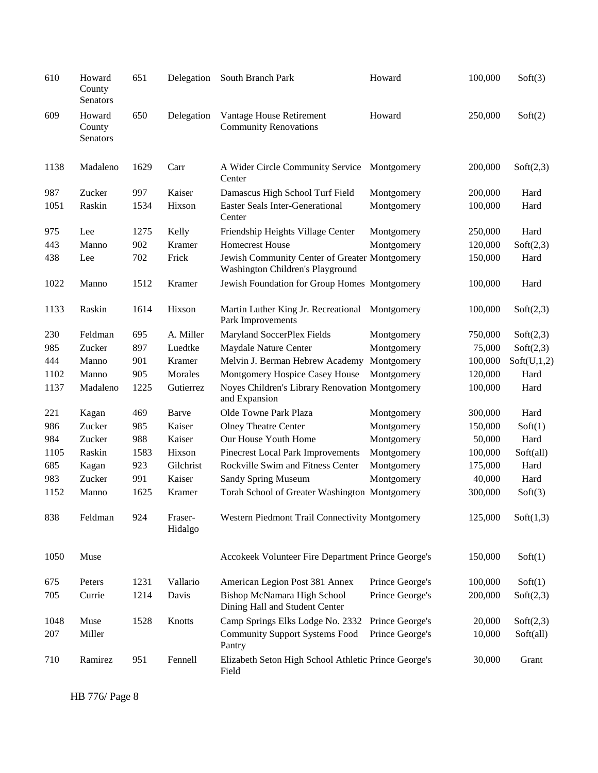| 610  | Howard<br>County<br>Senators | 651  | Delegation         | South Branch Park                                                                 | Howard          | 100,000 | Soft(3)     |
|------|------------------------------|------|--------------------|-----------------------------------------------------------------------------------|-----------------|---------|-------------|
| 609  | Howard<br>County<br>Senators | 650  | Delegation         | Vantage House Retirement<br><b>Community Renovations</b>                          | Howard          | 250,000 | Soft(2)     |
| 1138 | Madaleno                     | 1629 | Carr               | A Wider Circle Community Service<br>Center                                        | Montgomery      | 200,000 | Soft(2,3)   |
| 987  | Zucker                       | 997  | Kaiser             | Damascus High School Turf Field                                                   | Montgomery      | 200,000 | Hard        |
| 1051 | Raskin                       | 1534 | Hixson             | <b>Easter Seals Inter-Generational</b><br>Center                                  | Montgomery      | 100,000 | Hard        |
| 975  | Lee                          | 1275 | Kelly              | Friendship Heights Village Center                                                 | Montgomery      | 250,000 | Hard        |
| 443  | Manno                        | 902  | Kramer             | <b>Homecrest House</b>                                                            | Montgomery      | 120,000 | Soft(2,3)   |
| 438  | Lee                          | 702  | Frick              | Jewish Community Center of Greater Montgomery<br>Washington Children's Playground |                 | 150,000 | Hard        |
| 1022 | Manno                        | 1512 | Kramer             | Jewish Foundation for Group Homes Montgomery                                      |                 | 100,000 | Hard        |
| 1133 | Raskin                       | 1614 | Hixson             | Martin Luther King Jr. Recreational Montgomery<br>Park Improvements               |                 | 100,000 | Soft(2,3)   |
| 230  | Feldman                      | 695  | A. Miller          | Maryland SoccerPlex Fields                                                        | Montgomery      | 750,000 | Soft(2,3)   |
| 985  | Zucker                       | 897  | Luedtke            | Maydale Nature Center                                                             | Montgomery      | 75,000  | Soft(2,3)   |
| 444  | Manno                        | 901  | Kramer             | Melvin J. Berman Hebrew Academy                                                   | Montgomery      | 100,000 | Soft(U,1,2) |
| 1102 | Manno                        | 905  | Morales            | Montgomery Hospice Casey House                                                    | Montgomery      | 120,000 | Hard        |
| 1137 | Madaleno                     | 1225 | Gutierrez          | Noyes Children's Library Renovation Montgomery<br>and Expansion                   |                 | 100,000 | Hard        |
| 221  | Kagan                        | 469  | Barve              | Olde Towne Park Plaza                                                             | Montgomery      | 300,000 | Hard        |
| 986  | Zucker                       | 985  | Kaiser             | <b>Olney Theatre Center</b>                                                       | Montgomery      | 150,000 | Soft(1)     |
| 984  | Zucker                       | 988  | Kaiser             | Our House Youth Home                                                              | Montgomery      | 50,000  | Hard        |
| 1105 | Raskin                       | 1583 | Hixson             | Pinecrest Local Park Improvements                                                 | Montgomery      | 100,000 | Soft(all)   |
| 685  | Kagan                        | 923  | Gilchrist          | Rockville Swim and Fitness Center                                                 | Montgomery      | 175,000 | Hard        |
| 983  | Zucker                       | 991  | Kaiser             | <b>Sandy Spring Museum</b>                                                        | Montgomery      | 40,000  | Hard        |
| 1152 | Manno                        | 1625 | Kramer             | Torah School of Greater Washington Montgomery                                     |                 | 300,000 | Soft(3)     |
| 838  | Feldman                      | 924  | Fraser-<br>Hidalgo | Western Piedmont Trail Connectivity Montgomery                                    |                 | 125,000 | Soft(1,3)   |
| 1050 | Muse                         |      |                    | Accokeek Volunteer Fire Department Prince George's                                |                 | 150,000 | Soft(1)     |
| 675  | Peters                       | 1231 | Vallario           | American Legion Post 381 Annex                                                    | Prince George's | 100,000 | Soft(1)     |
| 705  | Currie                       | 1214 | Davis              | Bishop McNamara High School<br>Dining Hall and Student Center                     | Prince George's | 200,000 | Soft(2,3)   |
| 1048 | Muse                         | 1528 | Knotts             | Camp Springs Elks Lodge No. 2332                                                  | Prince George's | 20,000  | Soft(2,3)   |
| 207  | Miller                       |      |                    | <b>Community Support Systems Food</b><br>Pantry                                   | Prince George's | 10,000  | Soft(all)   |
| 710  | Ramirez                      | 951  | Fennell            | Elizabeth Seton High School Athletic Prince George's<br>Field                     |                 | 30,000  | Grant       |

HB 776/ Page 8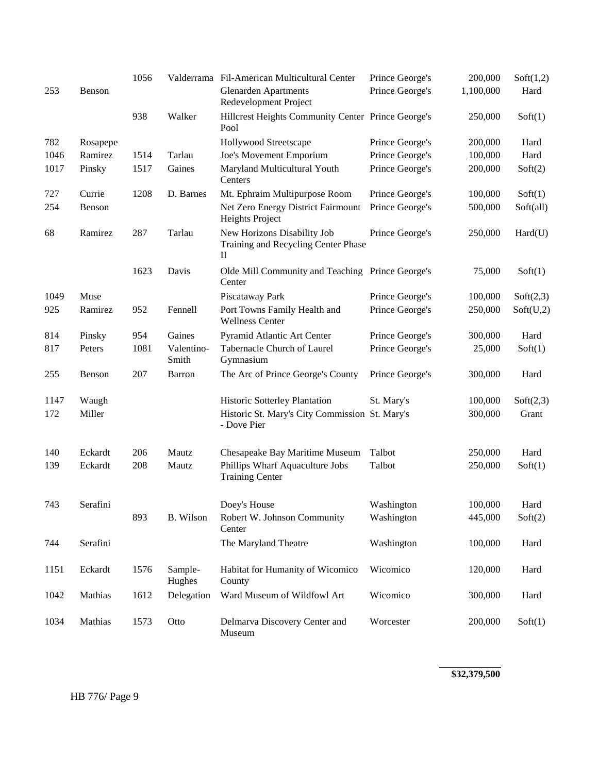|      |          | 1056 |                     | Valderrama Fil-American Multicultural Center                            | Prince George's | 200,000   | Soft(1,2) |
|------|----------|------|---------------------|-------------------------------------------------------------------------|-----------------|-----------|-----------|
| 253  | Benson   |      |                     | <b>Glenarden Apartments</b><br>Redevelopment Project                    | Prince George's | 1,100,000 | Hard      |
|      |          | 938  | Walker              | Hillcrest Heights Community Center Prince George's<br>Pool              |                 | 250,000   | Soft(1)   |
| 782  | Rosapepe |      |                     | Hollywood Streetscape                                                   | Prince George's | 200,000   | Hard      |
| 1046 | Ramirez  | 1514 | Tarlau              | Joe's Movement Emporium                                                 | Prince George's | 100,000   | Hard      |
| 1017 | Pinsky   | 1517 | Gaines              | Maryland Multicultural Youth<br>Centers                                 | Prince George's | 200,000   | Soft(2)   |
| 727  | Currie   | 1208 | D. Barnes           | Mt. Ephraim Multipurpose Room                                           | Prince George's | 100,000   | Soft(1)   |
| 254  | Benson   |      |                     | Net Zero Energy District Fairmount<br>Heights Project                   | Prince George's | 500,000   | Soft(all) |
| 68   | Ramirez  | 287  | Tarlau              | New Horizons Disability Job<br>Training and Recycling Center Phase<br>П | Prince George's | 250,000   | Hard(U)   |
|      |          | 1623 | Davis               | Olde Mill Community and Teaching Prince George's<br>Center              |                 | 75,000    | Soft(1)   |
| 1049 | Muse     |      |                     | Piscataway Park                                                         | Prince George's | 100,000   | Soft(2,3) |
| 925  | Ramirez  | 952  | Fennell             | Port Towns Family Health and<br><b>Wellness Center</b>                  | Prince George's | 250,000   | Soft(U,2) |
| 814  | Pinsky   | 954  | Gaines              | Pyramid Atlantic Art Center                                             | Prince George's | 300,000   | Hard      |
| 817  | Peters   | 1081 | Valentino-<br>Smith | Tabernacle Church of Laurel<br>Gymnasium                                | Prince George's | 25,000    | Soft(1)   |
| 255  | Benson   | 207  | Barron              | The Arc of Prince George's County                                       | Prince George's | 300,000   | Hard      |
| 1147 | Waugh    |      |                     | Historic Sotterley Plantation                                           | St. Mary's      | 100,000   | Soft(2,3) |
| 172  | Miller   |      |                     | Historic St. Mary's City Commission St. Mary's<br>- Dove Pier           |                 | 300,000   | Grant     |
| 140  | Eckardt  | 206  | Mautz               | Chesapeake Bay Maritime Museum                                          | Talbot          | 250,000   | Hard      |
| 139  | Eckardt  | 208  | Mautz               | Phillips Wharf Aquaculture Jobs<br><b>Training Center</b>               | Talbot          | 250,000   | Soft(1)   |
| 743  | Serafini |      |                     | Doey's House                                                            | Washington      | 100,000   | Hard      |
|      |          | 893  | B. Wilson           | Robert W. Johnson Community<br>Center                                   | Washington      | 445,000   | Soft(2)   |
| 744  | Serafini |      |                     | The Maryland Theatre                                                    | Washington      | 100,000   | Hard      |
| 1151 | Eckardt  | 1576 | Sample-<br>Hughes   | Habitat for Humanity of Wicomico<br>County                              | Wicomico        | 120,000   | Hard      |
| 1042 | Mathias  | 1612 | Delegation          | Ward Museum of Wildfowl Art                                             | Wicomico        | 300,000   | Hard      |
| 1034 | Mathias  | 1573 | Otto                | Delmarva Discovery Center and<br>Museum                                 | Worcester       | 200,000   | Soft(1)   |